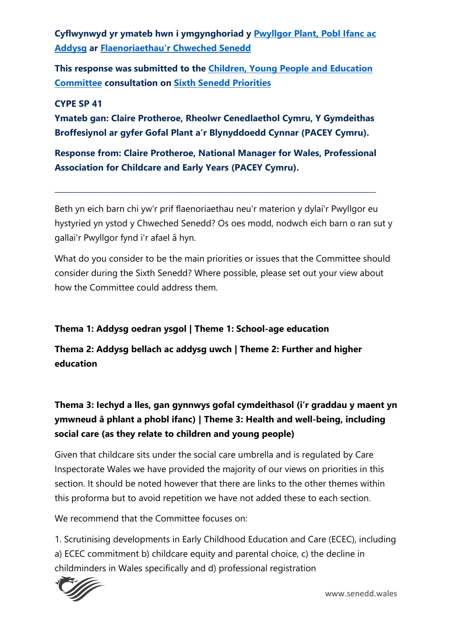**Cyflwynwyd yr ymateb hwn i ymgynghoriad y [Pwyllgor Plant, Pobl Ifanc ac](https://senedd.cymru/pwyllgorau/y-pwyllgor-plant-pobl-ifanc-ac-addysg/)  [Addysg](https://senedd.cymru/pwyllgorau/y-pwyllgor-plant-pobl-ifanc-ac-addysg/) ar [Flaenoriaethau'r Chweched Senedd](https://busnes.senedd.cymru/mgConsultationDisplay.aspx?id=426&RPID=1025311385&cp=yes)**

**This response was submitted to the [Children, Young People and Education](https://senedd.wales/committee/736)  [Committee](https://senedd.wales/committee/736) consultation on [Sixth Senedd Priorities](https://business.senedd.wales/mgConsultationDisplay.aspx?id=426&RPID=1025311385&cp=yes)**

#### **CYPE SP 41**

**Ymateb gan: Claire Protheroe, Rheolwr Cenedlaethol Cymru, Y Gymdeithas Broffesiynol ar gyfer Gofal Plant a'r Blynyddoedd Cynnar (PACEY Cymru).**

**Response from: Claire Protheroe, National Manager for Wales, Professional Association for Childcare and Early Years (PACEY Cymru).**

**\_\_\_\_\_\_\_\_\_\_\_\_\_\_\_\_\_\_\_\_\_\_\_\_\_\_\_\_\_\_\_\_\_\_\_\_\_\_\_\_\_\_\_\_\_\_\_\_\_\_\_\_\_\_\_\_\_\_\_\_\_\_\_\_\_\_\_\_\_\_\_\_\_\_\_\_\_\_\_\_\_\_\_\_\_**

Beth yn eich barn chi yw'r prif flaenoriaethau neu'r materion y dylai'r Pwyllgor eu hystyried yn ystod y Chweched Senedd? Os oes modd, nodwch eich barn o ran sut y gallai'r Pwyllgor fynd i'r afael â hyn.

What do you consider to be the main priorities or issues that the Committee should consider during the Sixth Senedd? Where possible, please set out your view about how the Committee could address them.

#### **Thema 1: Addysg oedran ysgol | Theme 1: School-age education**

**Thema 2: Addysg bellach ac addysg uwch | Theme 2: Further and higher education** 

**Thema 3: Iechyd a lles, gan gynnwys gofal cymdeithasol (i'r graddau y maent yn ymwneud â phlant a phobl ifanc) | Theme 3: Health and well-being, including social care (as they relate to children and young people)**

Given that childcare sits under the social care umbrella and is regulated by Care Inspectorate Wales we have provided the majority of our views on priorities in this section. It should be noted however that there are links to the other themes within this proforma but to avoid repetition we have not added these to each section.

We recommend that the Committee focuses on:

1. Scrutinising developments in Early Childhood Education and Care (ECEC), including a) ECEC commitment b) childcare equity and parental choice, c) the decline in childminders in Wales specifically and d) professional registration

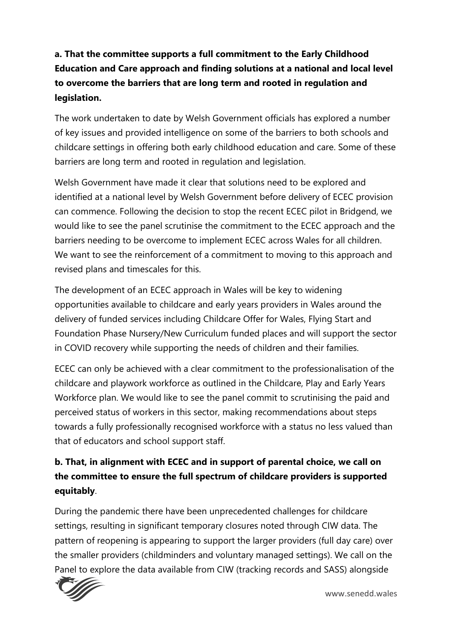# **a. That the committee supports a full commitment to the Early Childhood Education and Care approach and finding solutions at a national and local level to overcome the barriers that are long term and rooted in regulation and legislation.**

The work undertaken to date by Welsh Government officials has explored a number of key issues and provided intelligence on some of the barriers to both schools and childcare settings in offering both early childhood education and care. Some of these barriers are long term and rooted in regulation and legislation.

Welsh Government have made it clear that solutions need to be explored and identified at a national level by Welsh Government before delivery of ECEC provision can commence. Following the decision to stop the recent ECEC pilot in Bridgend, we would like to see the panel scrutinise the commitment to the ECEC approach and the barriers needing to be overcome to implement ECEC across Wales for all children. We want to see the reinforcement of a commitment to moving to this approach and revised plans and timescales for this.

The development of an ECEC approach in Wales will be key to widening opportunities available to childcare and early years providers in Wales around the delivery of funded services including Childcare Offer for Wales, Flying Start and Foundation Phase Nursery/New Curriculum funded places and will support the sector in COVID recovery while supporting the needs of children and their families.

ECEC can only be achieved with a clear commitment to the professionalisation of the childcare and playwork workforce as outlined in the Childcare, Play and Early Years Workforce plan. We would like to see the panel commit to scrutinising the paid and perceived status of workers in this sector, making recommendations about steps towards a fully professionally recognised workforce with a status no less valued than that of educators and school support staff.

### **b. That, in alignment with ECEC and in support of parental choice, we call on the committee to ensure the full spectrum of childcare providers is supported equitably**.

During the pandemic there have been unprecedented challenges for childcare settings, resulting in significant temporary closures noted through CIW data. The pattern of reopening is appearing to support the larger providers (full day care) over the smaller providers (childminders and voluntary managed settings). We call on the Panel to explore the data available from CIW (tracking records and SASS) alongside

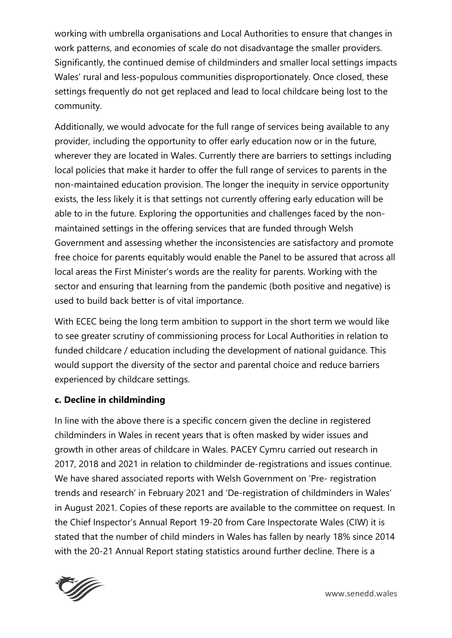working with umbrella organisations and Local Authorities to ensure that changes in work patterns, and economies of scale do not disadvantage the smaller providers. Significantly, the continued demise of childminders and smaller local settings impacts Wales' rural and less-populous communities disproportionately. Once closed, these settings frequently do not get replaced and lead to local childcare being lost to the community.

Additionally, we would advocate for the full range of services being available to any provider, including the opportunity to offer early education now or in the future, wherever they are located in Wales. Currently there are barriers to settings including local policies that make it harder to offer the full range of services to parents in the non-maintained education provision. The longer the inequity in service opportunity exists, the less likely it is that settings not currently offering early education will be able to in the future. Exploring the opportunities and challenges faced by the nonmaintained settings in the offering services that are funded through Welsh Government and assessing whether the inconsistencies are satisfactory and promote free choice for parents equitably would enable the Panel to be assured that across all local areas the First Minister's words are the reality for parents. Working with the sector and ensuring that learning from the pandemic (both positive and negative) is used to build back better is of vital importance.

With ECEC being the long term ambition to support in the short term we would like to see greater scrutiny of commissioning process for Local Authorities in relation to funded childcare / education including the development of national guidance. This would support the diversity of the sector and parental choice and reduce barriers experienced by childcare settings.

### **c. Decline in childminding**

In line with the above there is a specific concern given the decline in registered childminders in Wales in recent years that is often masked by wider issues and growth in other areas of childcare in Wales. PACEY Cymru carried out research in 2017, 2018 and 2021 in relation to childminder de-registrations and issues continue. We have shared associated reports with Welsh Government on 'Pre- registration trends and research' in February 2021 and 'De-registration of childminders in Wales' in August 2021. Copies of these reports are available to the committee on request. In the Chief Inspector's Annual Report 19-20 from Care Inspectorate Wales (CIW) it is stated that the number of child minders in Wales has fallen by nearly 18% since 2014 with the 20-21 Annual Report stating statistics around further decline. There is a



www.senedd.wales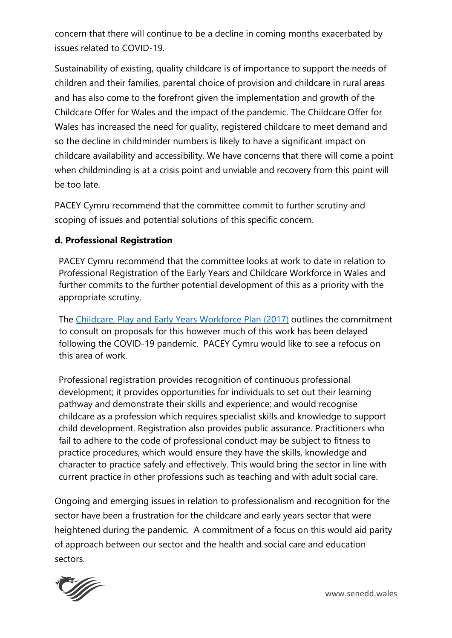concern that there will continue to be a decline in coming months exacerbated by issues related to COVID-19.

Sustainability of existing, quality childcare is of importance to support the needs of children and their families, parental choice of provision and childcare in rural areas and has also come to the forefront given the implementation and growth of the Childcare Offer for Wales and the impact of the pandemic. The Childcare Offer for Wales has increased the need for quality, registered childcare to meet demand and so the decline in childminder numbers is likely to have a significant impact on childcare availability and accessibility. We have concerns that there will come a point when childminding is at a crisis point and unviable and recovery from this point will be too late.

PACEY Cymru recommend that the committee commit to further scrutiny and scoping of issues and potential solutions of this specific concern.

### **d. Professional Registration**

PACEY Cymru recommend that the committee looks at work to date in relation to Professional Registration of the Early Years and Childcare Workforce in Wales and further commits to the further potential development of this as a priority with the appropriate scrutiny.

The [Childcare, Play and Early Years Workforce Plan \(2017\)](https://gov.wales/sites/default/files/publications/2019-07/early-years-workforce-plan.pdf) outlines the commitment to consult on proposals for this however much of this work has been delayed following the COVID-19 pandemic. PACEY Cymru would like to see a refocus on this area of work.

Professional registration provides recognition of continuous professional development; it provides opportunities for individuals to set out their learning pathway and demonstrate their skills and experience; and would recognise childcare as a profession which requires specialist skills and knowledge to support child development. Registration also provides public assurance. Practitioners who fail to adhere to the code of professional conduct may be subject to fitness to practice procedures, which would ensure they have the skills, knowledge and character to practice safely and effectively. This would bring the sector in line with current practice in other professions such as teaching and with adult social care.

Ongoing and emerging issues in relation to professionalism and recognition for the sector have been a frustration for the childcare and early years sector that were heightened during the pandemic. A commitment of a focus on this would aid parity of approach between our sector and the health and social care and education sectors.



www.senedd.wales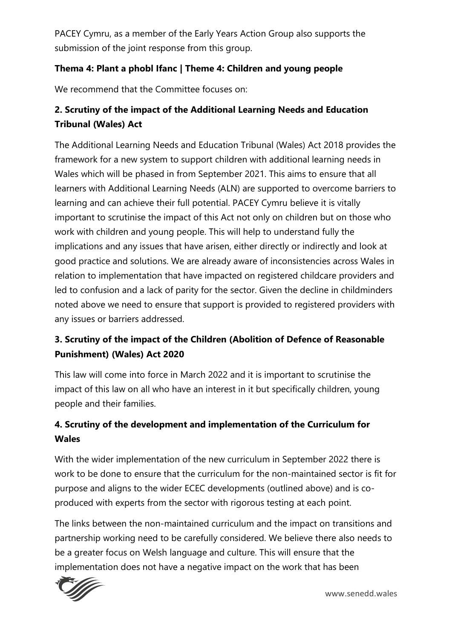PACEY Cymru, as a member of the Early Years Action Group also supports the submission of the joint response from this group.

### **Thema 4: Plant a phobl Ifanc | Theme 4: Children and young people**

We recommend that the Committee focuses on:

### **2. Scrutiny of the impact of the Additional Learning Needs and Education Tribunal (Wales) Act**

The Additional Learning Needs and Education Tribunal (Wales) Act 2018 provides the framework for a new system to support children with additional learning needs in Wales which will be phased in from September 2021. This aims to ensure that all learners with Additional Learning Needs (ALN) are supported to overcome barriers to learning and can achieve their full potential. PACEY Cymru believe it is vitally important to scrutinise the impact of this Act not only on children but on those who work with children and young people. This will help to understand fully the implications and any issues that have arisen, either directly or indirectly and look at good practice and solutions. We are already aware of inconsistencies across Wales in relation to implementation that have impacted on registered childcare providers and led to confusion and a lack of parity for the sector. Given the decline in childminders noted above we need to ensure that support is provided to registered providers with any issues or barriers addressed.

## **3. Scrutiny of the impact of the Children (Abolition of Defence of Reasonable Punishment) (Wales) Act 2020**

This law will come into force in March 2022 and it is important to scrutinise the impact of this law on all who have an interest in it but specifically children, young people and their families.

## **4. Scrutiny of the development and implementation of the Curriculum for Wales**

With the wider implementation of the new curriculum in September 2022 there is work to be done to ensure that the curriculum for the non-maintained sector is fit for purpose and aligns to the wider ECEC developments (outlined above) and is coproduced with experts from the sector with rigorous testing at each point.

The links between the non-maintained curriculum and the impact on transitions and partnership working need to be carefully considered. We believe there also needs to be a greater focus on Welsh language and culture. This will ensure that the implementation does not have a negative impact on the work that has been